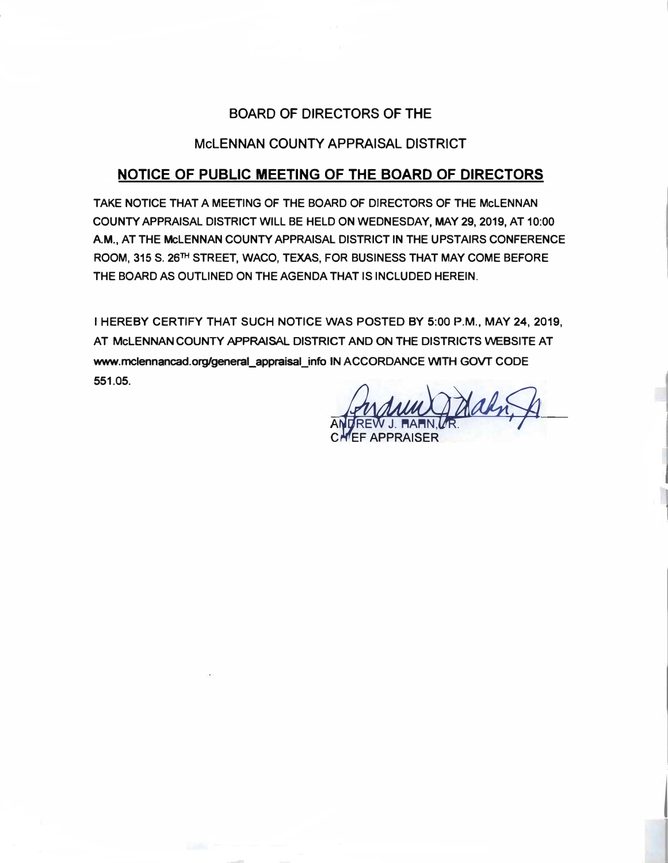# **BOARD OF DIRECTORS OF THE**

# **McLENNAN COUNTY APPRAISAL DISTRICT**

# **NOTICE OF PUBLIC MEETING OF THE BOARD OF DIRECTORS**

**TAKE NOTICE THAT A MEETING OF THE BOARD OF DIRECTORS OF THE McLENNAN COUNTY APPRAISAL DISTRICT WILL BE HELD ON WEDNESDAY, MAY 29, 2019, AT 10:00 AM., AT THE McLENNAN COUNTY APPRAISAL DISTRICT IN THE UPSTAIRS CONFERENCE ROOM, 315 S. 26TH STREET, WACO, TEXAS, FOR BUSINESS THAT MAY COME BEFORE THE BOARD AS OUTLINED ON THE AGENDA THAT IS INCLUDED HEREIN.** 

**I HEREBY CERTIFY THAT SUCH NOTICE WAS POSTED BY 5:00 P.M., MAY 24, 2019,**  AT MCLENNAN COUNTY APPRAISAL DISTRICT AND ON THE DISTRICTS WEBSITE AT **www.mclennancad.org/general\_appraisal\_info IN ACCORDANCE WITH GOVT CODE 551.05.** 

ANDREW J. HAHN, UR. CHEF APPRAISER

j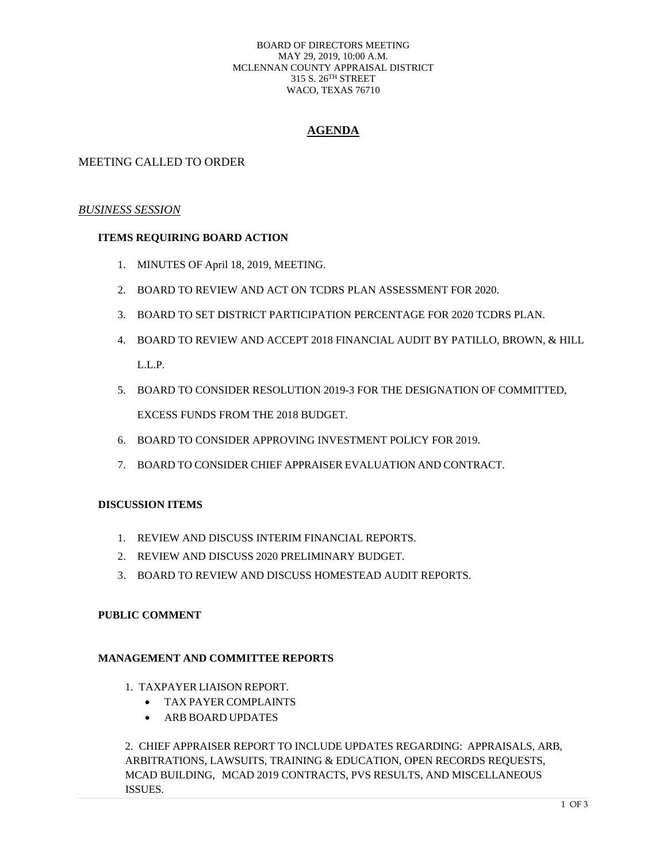#### BOARD OF DIRECTORS MEETING MAY 29, 2019, 10:00 A.M. MCLENNAN COUNTY APPRAISAL DISTRICT 315 S. 26TH STREET WACO, TEXAS 76710

## **AGENDA**

## MEETING CALLED TO ORDER

## *BUSINESS SESSION*

## **ITEMS REQUIRING BOARD ACTION**

- 1. MINUTES OF April 18, 2019, MEETING.
- 2. BOARD TO REVIEW AND ACT ON TCDRS PLAN ASSESSMENT FOR 2020.
- 3. BOARD TO SET DISTRICT PARTICIPATION PERCENTAGE FOR 2020 TCDRS PLAN.
- 4. BOARD TO REVIEW AND ACCEPT 2018 FINANCIAL AUDIT BY PATILLO, BROWN, & HILL L.L.P.
- 5. BOARD TO CONSIDER RESOLUTION 2019-3 FOR THE DESIGNATION OF COMMITTED, EXCESS FUNDS FROM THE 2018 BUDGET.
- 6. BOARD TO CONSIDER APPROVING INVESTMENT POLICY FOR 2019.
- 7. BOARD TO CONSIDER CHIEF APPRAISER EVALUATION AND CONTRACT.

### **DISCUSSION ITEMS**

- 1. REVIEW AND DISCUSS INTERIM FINANCIAL REPORTS.
- 2. REVIEW AND DISCUSS 2020 PRELIMINARY BUDGET.
- 3. BOARD TO REVIEW AND DISCUSS HOMESTEAD AUDIT REPORTS.

### **PUBLIC COMMENT**

### **MANAGEMENT AND COMMITTEE REPORTS**

- 1. TAXPAYER LIAISON REPORT.
	- TAX PAYER COMPLAINTS
	- ARB BOARD UPDATES

2. CHIEF APPRAISER REPORT TO INCLUDE UPDATES REGARDING: APPRAISALS, ARB, ARBITRATIONS, LAWSUITS, TRAINING & EDUCATION, OPEN RECORDS REQUESTS, MCAD BUILDING, MCAD 2019 CONTRACTS, PVS RESULTS, AND MISCELLANEOUS ISSUES.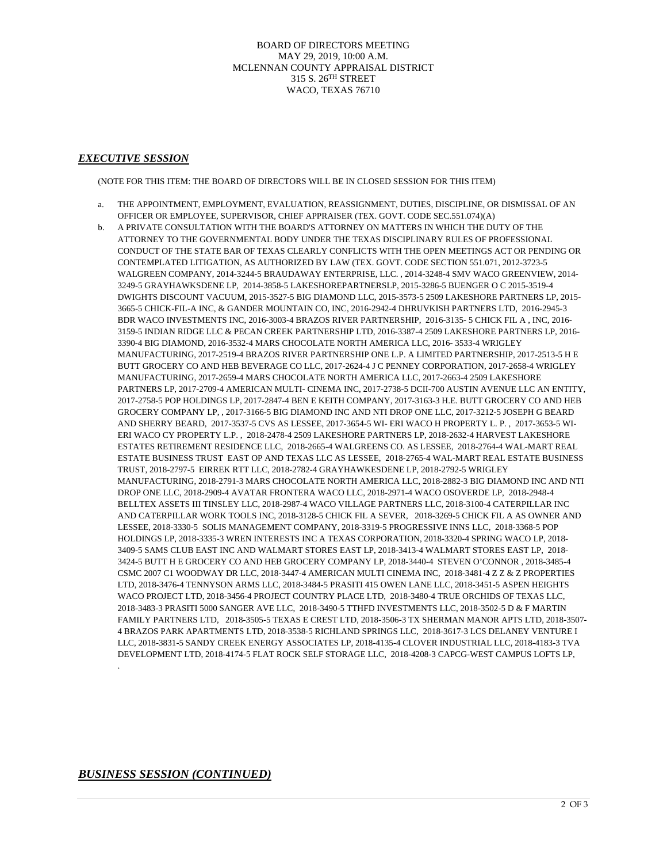BOARD OF DIRECTORS MEETING MAY 29, 2019, 10:00 A.M. MCLENNAN COUNTY APPRAISAL DISTRICT 315 S. 26TH STREET WACO, TEXAS 76710

#### *EXECUTIVE SESSION*

(NOTE FOR THIS ITEM: THE BOARD OF DIRECTORS WILL BE IN CLOSED SESSION FOR THIS ITEM)

- a. THE APPOINTMENT, EMPLOYMENT, EVALUATION, REASSIGNMENT, DUTIES, DISCIPLINE, OR DISMISSAL OF AN OFFICER OR EMPLOYEE, SUPERVISOR, CHIEF APPRAISER (TEX. GOVT. CODE SEC.551.074)(A)
- b. A PRIVATE CONSULTATION WITH THE BOARD'S ATTORNEY ON MATTERS IN WHICH THE DUTY OF THE ATTORNEY TO THE GOVERNMENTAL BODY UNDER THE TEXAS DISCIPLINARY RULES OF PROFESSIONAL CONDUCT OF THE STATE BAR OF TEXAS CLEARLY CONFLICTS WITH THE OPEN MEETINGS ACT OR PENDING OR CONTEMPLATED LITIGATION, AS AUTHORIZED BY LAW (TEX. GOVT. CODE SECTION 551.071, 2012-3723-5 WALGREEN COMPANY, 2014-3244-5 BRAUDAWAY ENTERPRISE, LLC. , 2014-3248-4 SMV WACO GREENVIEW, 2014- 3249-5 GRAYHAWKSDENE LP, 2014-3858-5 LAKESHOREPARTNERSLP, 2015-3286-5 BUENGER O C 2015-3519-4 DWIGHTS DISCOUNT VACUUM, 2015-3527-5 BIG DIAMOND LLC, 2015-3573-5 2509 LAKESHORE PARTNERS LP, 2015- 3665-5 CHICK-FIL-A INC, & GANDER MOUNTAIN CO, INC, 2016-2942-4 DHRUVKISH PARTNERS LTD, 2016-2945-3 BDR WACO INVESTMENTS INC, 2016-3003-4 BRAZOS RIVER PARTNERSHIP, 2016-3135- 5 CHICK FIL A , INC, 2016- 3159-5 INDIAN RIDGE LLC & PECAN CREEK PARTNERSHIP LTD, 2016-3387-4 2509 LAKESHORE PARTNERS LP, 2016- 3390-4 BIG DIAMOND, 2016-3532-4 MARS CHOCOLATE NORTH AMERICA LLC, 2016- 3533-4 WRIGLEY MANUFACTURING, 2017-2519-4 BRAZOS RIVER PARTNERSHIP ONE L.P. A LIMITED PARTNERSHIP, 2017-2513-5 H E BUTT GROCERY CO AND HEB BEVERAGE CO LLC, 2017-2624-4 J C PENNEY CORPORATION, 2017-2658-4 WRIGLEY MANUFACTURING, 2017-2659-4 MARS CHOCOLATE NORTH AMERICA LLC, 2017-2663-4 2509 LAKESHORE PARTNERS LP, 2017-2709-4 AMERICAN MULTI- CINEMA INC, 2017-2738-5 DCII-700 AUSTIN AVENUE LLC AN ENTITY, 2017-2758-5 POP HOLDINGS LP, 2017-2847-4 BEN E KEITH COMPANY, 2017-3163-3 H.E. BUTT GROCERY CO AND HEB GROCERY COMPANY LP, , 2017-3166-5 BIG DIAMOND INC AND NTI DROP ONE LLC, 2017-3212-5 JOSEPH G BEARD AND SHERRY BEARD, 2017-3537-5 CVS AS LESSEE, 2017-3654-5 WI- ERI WACO H PROPERTY L. P. , 2017-3653-5 WI-ERI WACO CY PROPERTY L.P. , 2018-2478-4 2509 LAKESHORE PARTNERS LP, 2018-2632-4 HARVEST LAKESHORE ESTATES RETIREMENT RESIDENCE LLC, 2018-2665-4 WALGREENS CO. AS LESSEE, 2018-2764-4 WAL-MART REAL ESTATE BUSINESS TRUST EAST OP AND TEXAS LLC AS LESSEE, 2018-2765-4 WAL-MART REAL ESTATE BUSINESS TRUST, 2018-2797-5 EIRREK RTT LLC, 2018-2782-4 GRAYHAWKESDENE LP, 2018-2792-5 WRIGLEY MANUFACTURING, 2018-2791-3 MARS CHOCOLATE NORTH AMERICA LLC, 2018-2882-3 BIG DIAMOND INC AND NTI DROP ONE LLC, 2018-2909-4 AVATAR FRONTERA WACO LLC, 2018-2971-4 WACO OSOVERDE LP, 2018-2948-4 BELLTEX ASSETS III TINSLEY LLC, 2018-2987-4 WACO VILLAGE PARTNERS LLC, 2018-3100-4 CATERPILLAR INC AND CATERPILLAR WORK TOOLS INC, 2018-3128-5 CHICK FIL A SEVER, 2018-3269-5 CHICK FIL A AS OWNER AND LESSEE, 2018-3330-5 SOLIS MANAGEMENT COMPANY, 2018-3319-5 PROGRESSIVE INNS LLC, 2018-3368-5 POP HOLDINGS LP, 2018-3335-3 WREN INTERESTS INC A TEXAS CORPORATION, 2018-3320-4 SPRING WACO LP, 2018- 3409-5 SAMS CLUB EAST INC AND WALMART STORES EAST LP, 2018-3413-4 WALMART STORES EAST LP, 2018- 3424-5 BUTT H E GROCERY CO AND HEB GROCERY COMPANY LP, 2018-3440-4 STEVEN O'CONNOR , 2018-3485-4 CSMC 2007 C1 WOODWAY DR LLC, 2018-3447-4 AMERICAN MULTI CINEMA INC, 2018-3481-4 Z Z & Z PROPERTIES LTD, 2018-3476-4 TENNYSON ARMS LLC, 2018-3484-5 PRASITI 415 OWEN LANE LLC, 2018-3451-5 ASPEN HEIGHTS WACO PROJECT LTD, 2018-3456-4 PROJECT COUNTRY PLACE LTD, 2018-3480-4 TRUE ORCHIDS OF TEXAS LLC, 2018-3483-3 PRASITI 5000 SANGER AVE LLC, 2018-3490-5 TTHFD INVESTMENTS LLC, 2018-3502-5 D & F MARTIN FAMILY PARTNERS LTD, 2018-3505-5 TEXAS E CREST LTD, 2018-3506-3 TX SHERMAN MANOR APTS LTD, 2018-3507- 4 BRAZOS PARK APARTMENTS LTD, 2018-3538-5 RICHLAND SPRINGS LLC, 2018-3617-3 LCS DELANEY VENTURE I LLC, 2018-3831-5 SANDY CREEK ENERGY ASSOCIATES LP, 2018-4135-4 CLOVER INDUSTRIAL LLC, 2018-4183-3 TVA DEVELOPMENT LTD, 2018-4174-5 FLAT ROCK SELF STORAGE LLC, 2018-4208-3 CAPCG-WEST CAMPUS LOFTS LP,

### *BUSINESS SESSION (CONTINUED)*

.